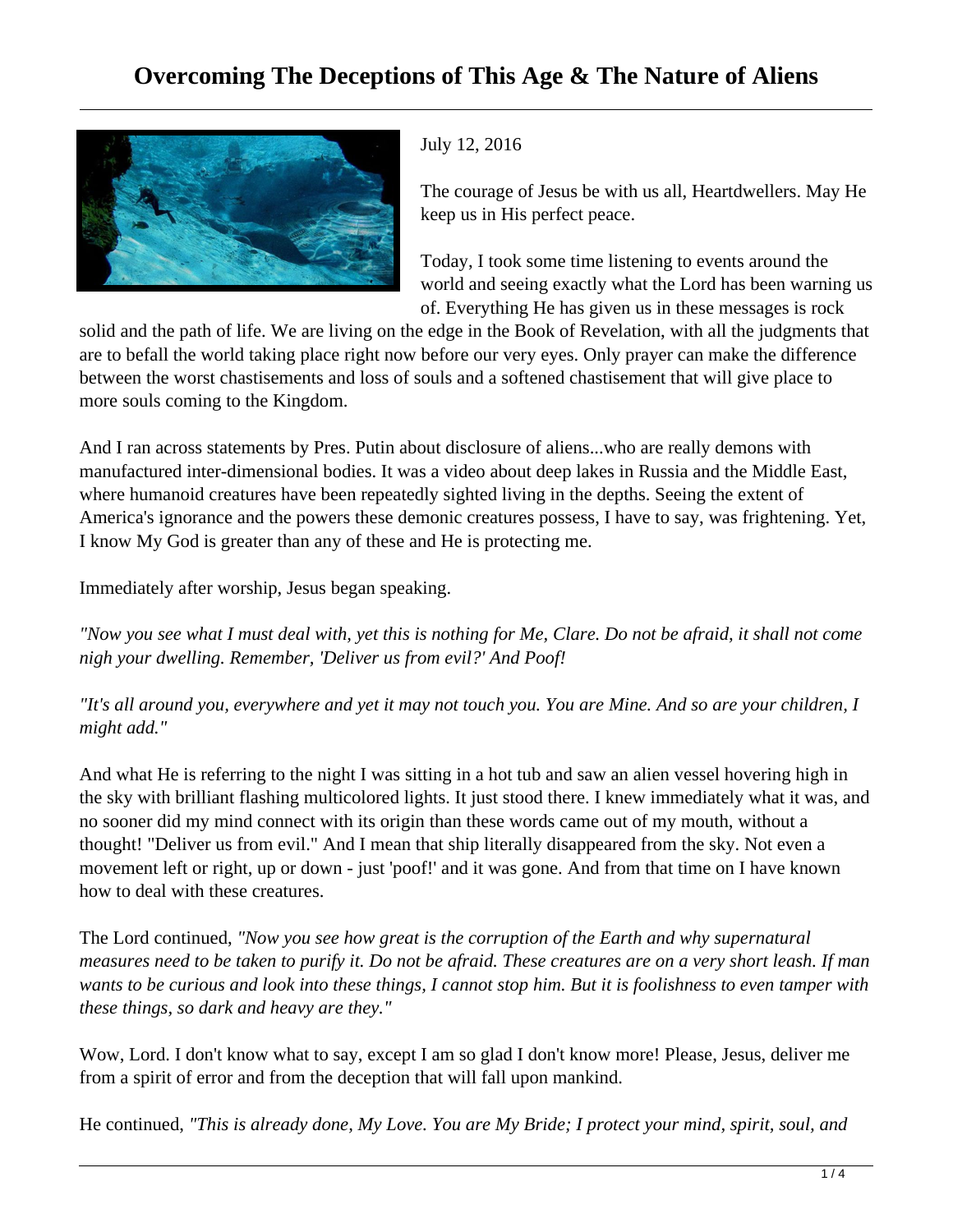## **Overcoming The Deceptions of This Age & The Nature of Aliens**



## July 12, 2016

The courage of Jesus be with us all, Heartdwellers. May He keep us in His perfect peace.

Today, I took some time listening to events around the world and seeing exactly what the Lord has been warning us of. Everything He has given us in these messages is rock

solid and the path of life. We are living on the edge in the Book of Revelation, with all the judgments that are to befall the world taking place right now before our very eyes. Only prayer can make the difference between the worst chastisements and loss of souls and a softened chastisement that will give place to more souls coming to the Kingdom.

And I ran across statements by Pres. Putin about disclosure of aliens...who are really demons with manufactured inter-dimensional bodies. It was a video about deep lakes in Russia and the Middle East, where humanoid creatures have been repeatedly sighted living in the depths. Seeing the extent of America's ignorance and the powers these demonic creatures possess, I have to say, was frightening. Yet, I know My God is greater than any of these and He is protecting me.

Immediately after worship, Jesus began speaking.

*"Now you see what I must deal with, yet this is nothing for Me, Clare. Do not be afraid, it shall not come nigh your dwelling. Remember, 'Deliver us from evil?' And Poof!* 

*"It's all around you, everywhere and yet it may not touch you. You are Mine. And so are your children, I might add."* 

And what He is referring to the night I was sitting in a hot tub and saw an alien vessel hovering high in the sky with brilliant flashing multicolored lights. It just stood there. I knew immediately what it was, and no sooner did my mind connect with its origin than these words came out of my mouth, without a thought! "Deliver us from evil." And I mean that ship literally disappeared from the sky. Not even a movement left or right, up or down - just 'poof!' and it was gone. And from that time on I have known how to deal with these creatures.

The Lord continued, *"Now you see how great is the corruption of the Earth and why supernatural measures need to be taken to purify it. Do not be afraid. These creatures are on a very short leash. If man wants to be curious and look into these things, I cannot stop him. But it is foolishness to even tamper with these things, so dark and heavy are they."*

Wow, Lord. I don't know what to say, except I am so glad I don't know more! Please, Jesus, deliver me from a spirit of error and from the deception that will fall upon mankind.

He continued, *"This is already done, My Love. You are My Bride; I protect your mind, spirit, soul, and*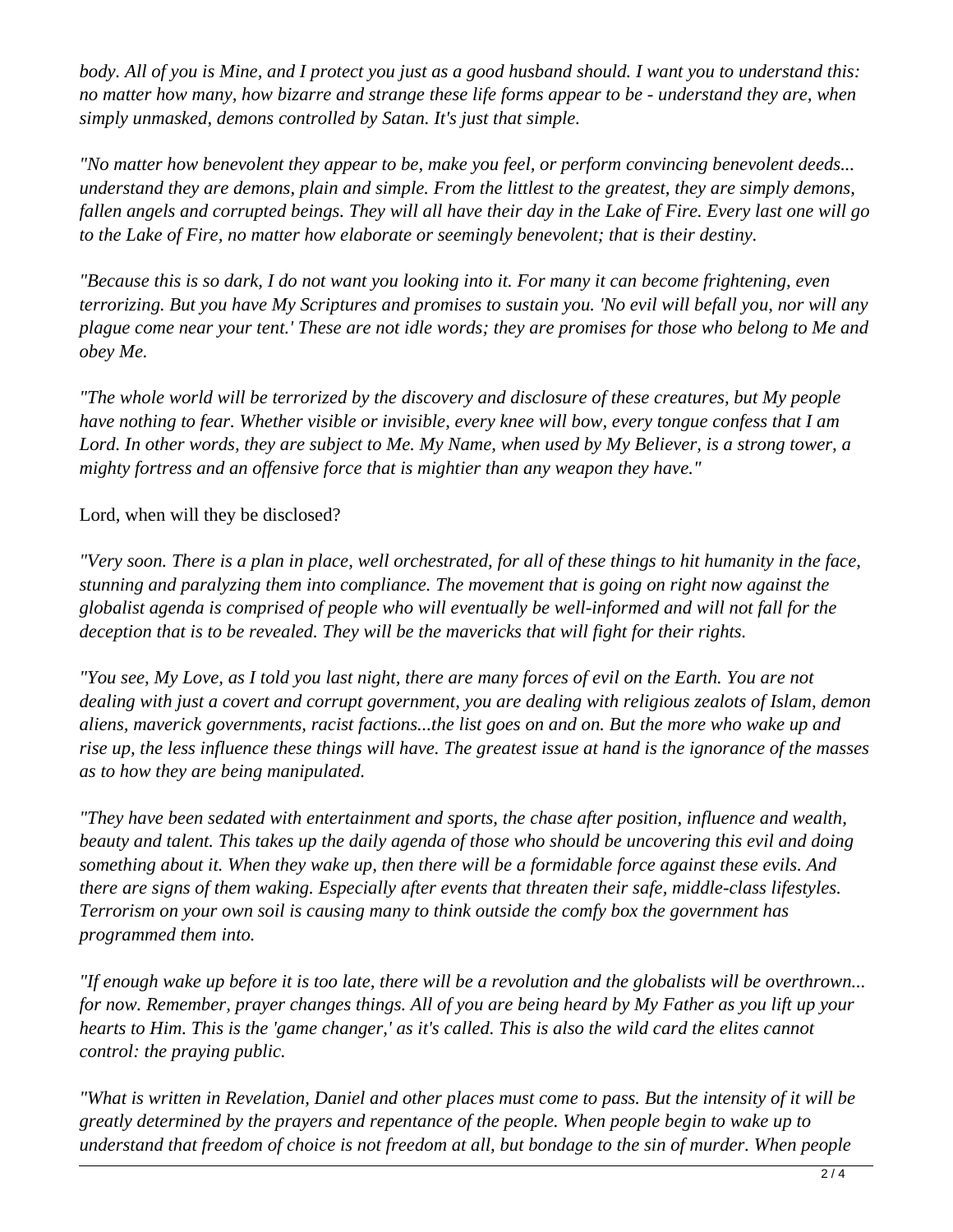*body. All of you is Mine, and I protect you just as a good husband should. I want you to understand this: no matter how many, how bizarre and strange these life forms appear to be - understand they are, when simply unmasked, demons controlled by Satan. It's just that simple.* 

*"No matter how benevolent they appear to be, make you feel, or perform convincing benevolent deeds... understand they are demons, plain and simple. From the littlest to the greatest, they are simply demons, fallen angels and corrupted beings. They will all have their day in the Lake of Fire. Every last one will go to the Lake of Fire, no matter how elaborate or seemingly benevolent; that is their destiny.*

*"Because this is so dark, I do not want you looking into it. For many it can become frightening, even terrorizing. But you have My Scriptures and promises to sustain you. 'No evil will befall you, nor will any plague come near your tent.' These are not idle words; they are promises for those who belong to Me and obey Me.* 

*"The whole world will be terrorized by the discovery and disclosure of these creatures, but My people have nothing to fear. Whether visible or invisible, every knee will bow, every tongue confess that I am Lord. In other words, they are subject to Me. My Name, when used by My Believer, is a strong tower, a mighty fortress and an offensive force that is mightier than any weapon they have."*

Lord, when will they be disclosed?

*"Very soon. There is a plan in place, well orchestrated, for all of these things to hit humanity in the face, stunning and paralyzing them into compliance. The movement that is going on right now against the globalist agenda is comprised of people who will eventually be well-informed and will not fall for the deception that is to be revealed. They will be the mavericks that will fight for their rights.* 

*"You see, My Love, as I told you last night, there are many forces of evil on the Earth. You are not dealing with just a covert and corrupt government, you are dealing with religious zealots of Islam, demon aliens, maverick governments, racist factions...the list goes on and on. But the more who wake up and rise up, the less influence these things will have. The greatest issue at hand is the ignorance of the masses as to how they are being manipulated.*

*"They have been sedated with entertainment and sports, the chase after position, influence and wealth, beauty and talent. This takes up the daily agenda of those who should be uncovering this evil and doing something about it. When they wake up, then there will be a formidable force against these evils. And there are signs of them waking. Especially after events that threaten their safe, middle-class lifestyles. Terrorism on your own soil is causing many to think outside the comfy box the government has programmed them into.*

*"If enough wake up before it is too late, there will be a revolution and the globalists will be overthrown... for now. Remember, prayer changes things. All of you are being heard by My Father as you lift up your hearts to Him. This is the 'game changer,' as it's called. This is also the wild card the elites cannot control: the praying public.* 

*"What is written in Revelation, Daniel and other places must come to pass. But the intensity of it will be greatly determined by the prayers and repentance of the people. When people begin to wake up to understand that freedom of choice is not freedom at all, but bondage to the sin of murder. When people*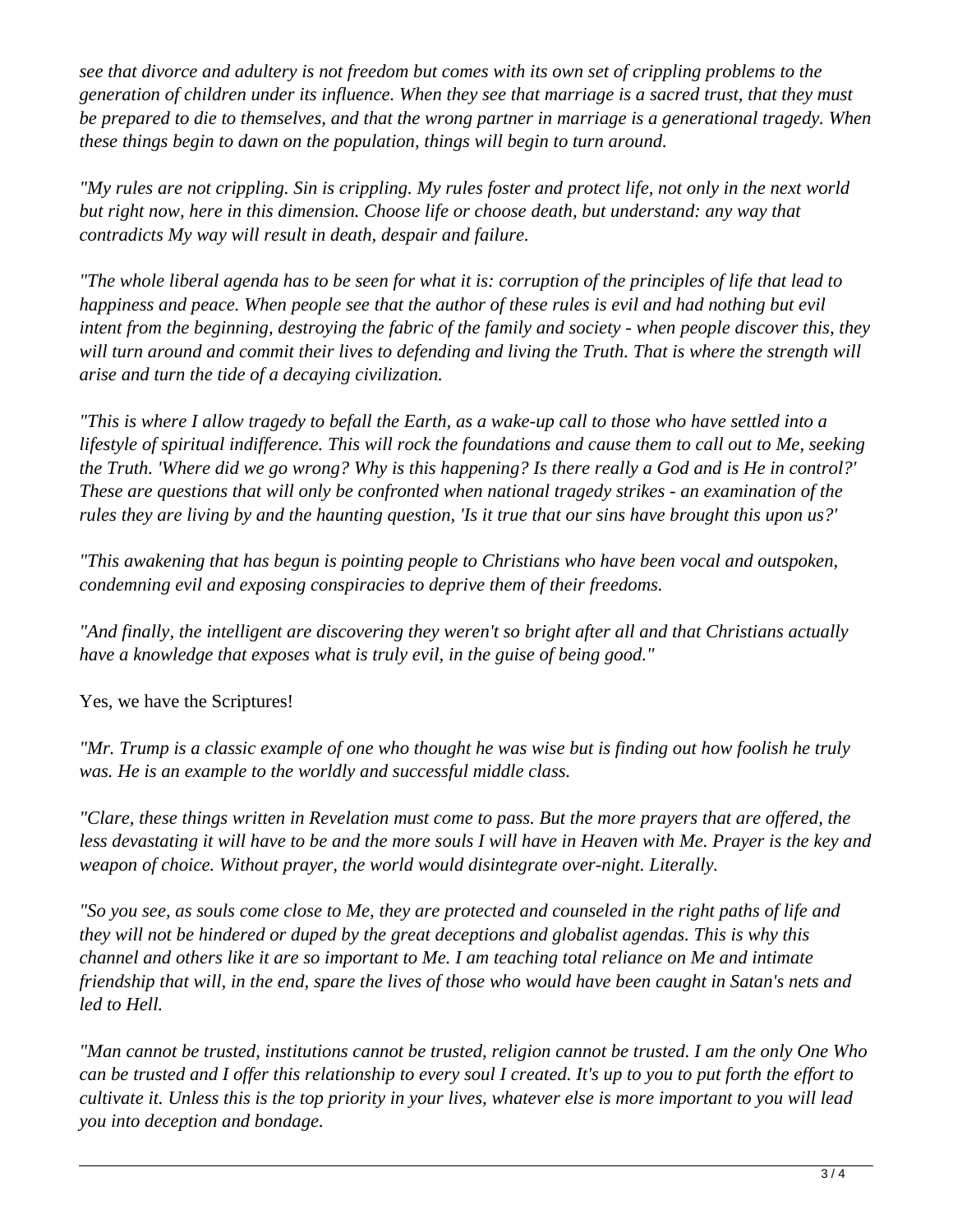*see that divorce and adultery is not freedom but comes with its own set of crippling problems to the generation of children under its influence. When they see that marriage is a sacred trust, that they must be prepared to die to themselves, and that the wrong partner in marriage is a generational tragedy. When these things begin to dawn on the population, things will begin to turn around.* 

*"My rules are not crippling. Sin is crippling. My rules foster and protect life, not only in the next world but right now, here in this dimension. Choose life or choose death, but understand: any way that contradicts My way will result in death, despair and failure.*

*"The whole liberal agenda has to be seen for what it is: corruption of the principles of life that lead to happiness and peace. When people see that the author of these rules is evil and had nothing but evil intent from the beginning, destroying the fabric of the family and society - when people discover this, they* will turn around and commit their lives to defending and living the Truth. That is where the strength will *arise and turn the tide of a decaying civilization.*

*"This is where I allow tragedy to befall the Earth, as a wake-up call to those who have settled into a lifestyle of spiritual indifference. This will rock the foundations and cause them to call out to Me, seeking the Truth. 'Where did we go wrong? Why is this happening? Is there really a God and is He in control?' These are questions that will only be confronted when national tragedy strikes - an examination of the rules they are living by and the haunting question, 'Is it true that our sins have brought this upon us?'*

*"This awakening that has begun is pointing people to Christians who have been vocal and outspoken, condemning evil and exposing conspiracies to deprive them of their freedoms.* 

*"And finally, the intelligent are discovering they weren't so bright after all and that Christians actually have a knowledge that exposes what is truly evil, in the guise of being good."*

Yes, we have the Scriptures!

*"Mr. Trump is a classic example of one who thought he was wise but is finding out how foolish he truly was. He is an example to the worldly and successful middle class.* 

*"Clare, these things written in Revelation must come to pass. But the more prayers that are offered, the less devastating it will have to be and the more souls I will have in Heaven with Me. Prayer is the key and weapon of choice. Without prayer, the world would disintegrate over-night. Literally.*

*"So you see, as souls come close to Me, they are protected and counseled in the right paths of life and they will not be hindered or duped by the great deceptions and globalist agendas. This is why this channel and others like it are so important to Me. I am teaching total reliance on Me and intimate friendship that will, in the end, spare the lives of those who would have been caught in Satan's nets and led to Hell.* 

*"Man cannot be trusted, institutions cannot be trusted, religion cannot be trusted. I am the only One Who can be trusted and I offer this relationship to every soul I created. It's up to you to put forth the effort to cultivate it. Unless this is the top priority in your lives, whatever else is more important to you will lead you into deception and bondage.*